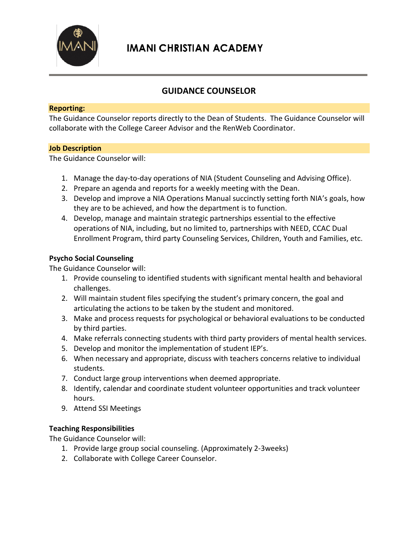

## **GUIDANCE COUNSELOR**

#### **Reporting:**

The Guidance Counselor reports directly to the Dean of Students. The Guidance Counselor will collaborate with the College Career Advisor and the RenWeb Coordinator.

#### **Job Description**

The Guidance Counselor will:

- 1. Manage the day-to-day operations of NIA (Student Counseling and Advising Office).
- 2. Prepare an agenda and reports for a weekly meeting with the Dean.
- 3. Develop and improve a NIA Operations Manual succinctly setting forth NIA's goals, how they are to be achieved, and how the department is to function.
- 4. Develop, manage and maintain strategic partnerships essential to the effective operations of NIA, including, but no limited to, partnerships with NEED, CCAC Dual Enrollment Program, third party Counseling Services, Children, Youth and Families, etc.

#### **Psycho Social Counseling**

The Guidance Counselor will:

- 1. Provide counseling to identified students with significant mental health and behavioral challenges.
- 2. Will maintain student files specifying the student's primary concern, the goal and articulating the actions to be taken by the student and monitored.
- 3. Make and process requests for psychological or behavioral evaluations to be conducted by third parties.
- 4. Make referrals connecting students with third party providers of mental health services.
- 5. Develop and monitor the implementation of student IEP's.
- 6. When necessary and appropriate, discuss with teachers concerns relative to individual students.
- 7. Conduct large group interventions when deemed appropriate.
- 8. Identify, calendar and coordinate student volunteer opportunities and track volunteer hours.
- 9. Attend SSI Meetings

## **Teaching Responsibilities**

The Guidance Counselor will:

- 1. Provide large group social counseling. (Approximately 2-3weeks)
- 2. Collaborate with College Career Counselor.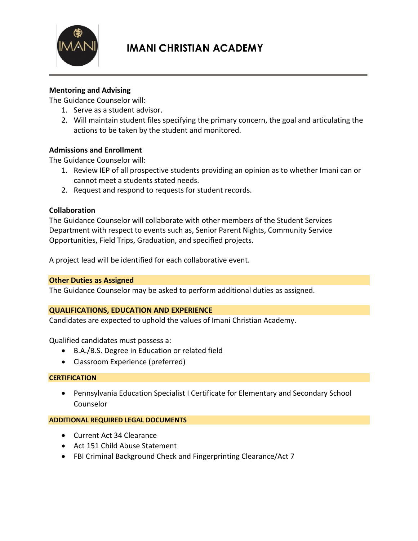

# **IMANI CHRISTIAN ACADEMY**

## **Mentoring and Advising**

The Guidance Counselor will:

- 1. Serve as a student advisor.
- 2. Will maintain student files specifying the primary concern, the goal and articulating the actions to be taken by the student and monitored.

## **Admissions and Enrollment**

The Guidance Counselor will:

- 1. Review IEP of all prospective students providing an opinion as to whether Imani can or cannot meet a students stated needs.
- 2. Request and respond to requests for student records.

## **Collaboration**

The Guidance Counselor will collaborate with other members of the Student Services Department with respect to events such as, Senior Parent Nights, Community Service Opportunities, Field Trips, Graduation, and specified projects.

A project lead will be identified for each collaborative event.

## **Other Duties as Assigned**

The Guidance Counselor may be asked to perform additional duties as assigned.

## **QUALIFICATIONS, EDUCATION AND EXPERIENCE**

Candidates are expected to uphold the values of Imani Christian Academy.

Qualified candidates must possess a:

- B.A./B.S. Degree in Education or related field
- Classroom Experience (preferred)

#### **CERTIFICATION**

 Pennsylvania Education Specialist I Certificate for Elementary and Secondary School Counselor

#### **ADDITIONAL REQUIRED LEGAL DOCUMENTS**

- Current Act 34 Clearance
- Act 151 Child Abuse Statement
- FBI Criminal Background Check and Fingerprinting Clearance/Act 7